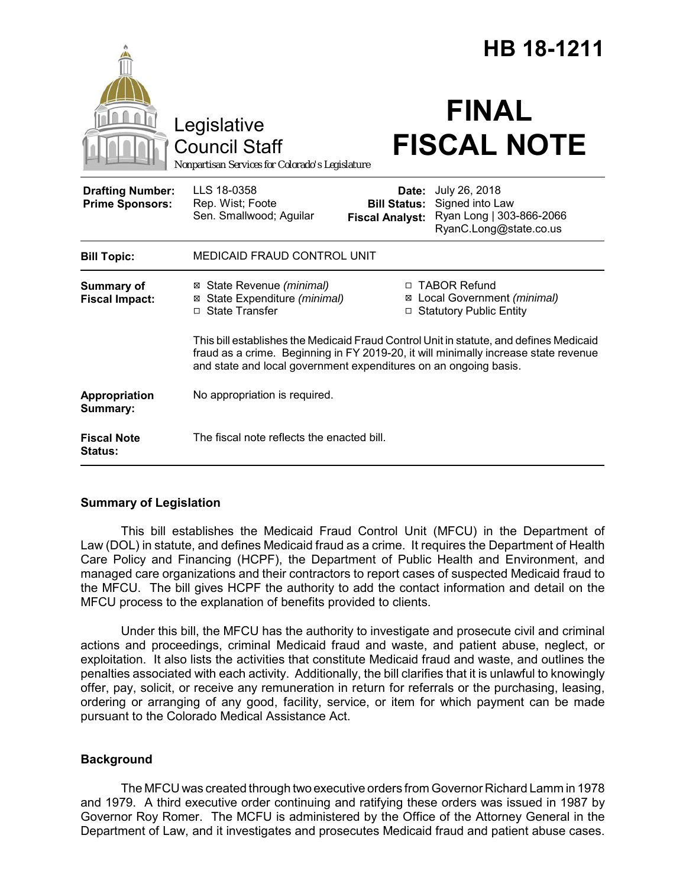|                                                   |                                                                                        | HB 18-1211                                                                                                                                                                                                                                        |
|---------------------------------------------------|----------------------------------------------------------------------------------------|---------------------------------------------------------------------------------------------------------------------------------------------------------------------------------------------------------------------------------------------------|
|                                                   | Legislative<br><b>Council Staff</b><br>Nonpartisan Services for Colorado's Legislature | <b>FINAL</b><br><b>FISCAL NOTE</b>                                                                                                                                                                                                                |
| <b>Drafting Number:</b><br><b>Prime Sponsors:</b> | LLS 18-0358<br>Rep. Wist; Foote<br>Sen. Smallwood; Aguilar                             | July 26, 2018<br>Date:<br>Signed into Law<br><b>Bill Status:</b><br>Ryan Long   303-866-2066<br><b>Fiscal Analyst:</b><br>RyanC.Long@state.co.us                                                                                                  |
| <b>Bill Topic:</b>                                | <b>MEDICAID FRAUD CONTROL UNIT</b>                                                     |                                                                                                                                                                                                                                                   |
| <b>Summary of</b><br><b>Fiscal Impact:</b>        | ⊠ State Revenue (minimal)<br>⊠ State Expenditure (minimal)<br>□ State Transfer         | □ TABOR Refund<br>⊠ Local Government (minimal)<br>□ Statutory Public Entity                                                                                                                                                                       |
|                                                   |                                                                                        | This bill establishes the Medicaid Fraud Control Unit in statute, and defines Medicaid<br>fraud as a crime. Beginning in FY 2019-20, it will minimally increase state revenue<br>and state and local government expenditures on an ongoing basis. |
| Appropriation<br>Summary:                         | No appropriation is required.                                                          |                                                                                                                                                                                                                                                   |
| <b>Fiscal Note</b><br><b>Status:</b>              | The fiscal note reflects the enacted bill.                                             |                                                                                                                                                                                                                                                   |

# **Summary of Legislation**

This bill establishes the Medicaid Fraud Control Unit (MFCU) in the Department of Law (DOL) in statute, and defines Medicaid fraud as a crime. It requires the Department of Health Care Policy and Financing (HCPF), the Department of Public Health and Environment, and managed care organizations and their contractors to report cases of suspected Medicaid fraud to the MFCU. The bill gives HCPF the authority to add the contact information and detail on the MFCU process to the explanation of benefits provided to clients.

Under this bill, the MFCU has the authority to investigate and prosecute civil and criminal actions and proceedings, criminal Medicaid fraud and waste, and patient abuse, neglect, or exploitation. It also lists the activities that constitute Medicaid fraud and waste, and outlines the penalties associated with each activity. Additionally, the bill clarifies that it is unlawful to knowingly offer, pay, solicit, or receive any remuneration in return for referrals or the purchasing, leasing, ordering or arranging of any good, facility, service, or item for which payment can be made pursuant to the Colorado Medical Assistance Act.

# **Background**

The MFCU was created through two executive orders from Governor Richard Lamm in 1978 and 1979. A third executive order continuing and ratifying these orders was issued in 1987 by Governor Roy Romer. The MCFU is administered by the Office of the Attorney General in the Department of Law, and it investigates and prosecutes Medicaid fraud and patient abuse cases.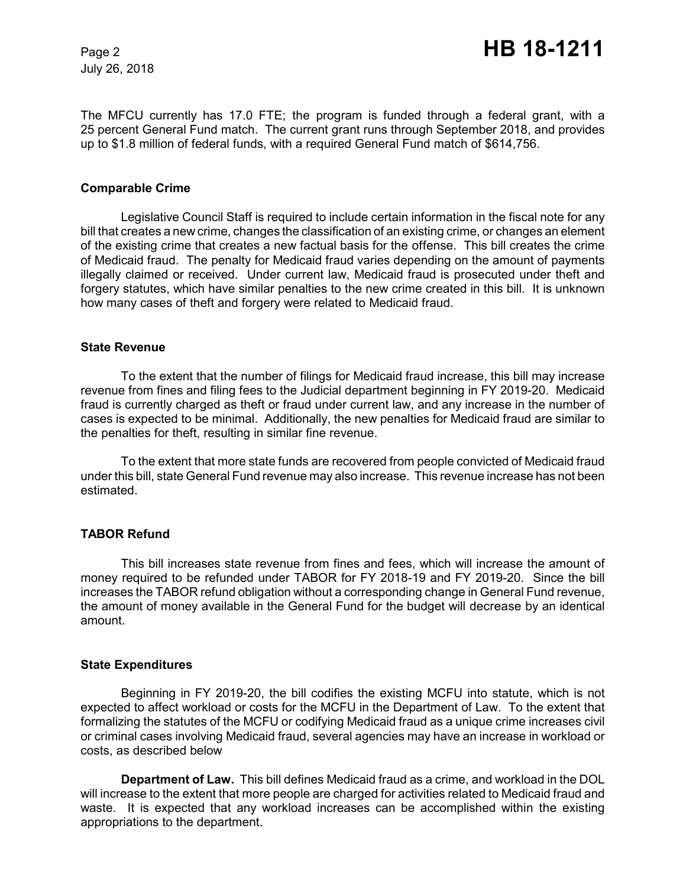July 26, 2018

The MFCU currently has 17.0 FTE; the program is funded through a federal grant, with a 25 percent General Fund match. The current grant runs through September 2018, and provides up to \$1.8 million of federal funds, with a required General Fund match of \$614,756.

### **Comparable Crime**

Legislative Council Staff is required to include certain information in the fiscal note for any bill that creates a new crime, changes the classification of an existing crime, or changes an element of the existing crime that creates a new factual basis for the offense. This bill creates the crime of Medicaid fraud. The penalty for Medicaid fraud varies depending on the amount of payments illegally claimed or received. Under current law, Medicaid fraud is prosecuted under theft and forgery statutes, which have similar penalties to the new crime created in this bill. It is unknown how many cases of theft and forgery were related to Medicaid fraud.

#### **State Revenue**

To the extent that the number of filings for Medicaid fraud increase, this bill may increase revenue from fines and filing fees to the Judicial department beginning in FY 2019-20. Medicaid fraud is currently charged as theft or fraud under current law, and any increase in the number of cases is expected to be minimal. Additionally, the new penalties for Medicaid fraud are similar to the penalties for theft, resulting in similar fine revenue.

To the extent that more state funds are recovered from people convicted of Medicaid fraud under this bill, state General Fund revenue may also increase. This revenue increase has not been estimated.

#### **TABOR Refund**

This bill increases state revenue from fines and fees, which will increase the amount of money required to be refunded under TABOR for FY 2018-19 and FY 2019-20. Since the bill increases the TABOR refund obligation without a corresponding change in General Fund revenue, the amount of money available in the General Fund for the budget will decrease by an identical amount.

### **State Expenditures**

Beginning in FY 2019-20, the bill codifies the existing MCFU into statute, which is not expected to affect workload or costs for the MCFU in the Department of Law. To the extent that formalizing the statutes of the MCFU or codifying Medicaid fraud as a unique crime increases civil or criminal cases involving Medicaid fraud, several agencies may have an increase in workload or costs, as described below

**Department of Law.** This bill defines Medicaid fraud as a crime, and workload in the DOL will increase to the extent that more people are charged for activities related to Medicaid fraud and waste. It is expected that any workload increases can be accomplished within the existing appropriations to the department.